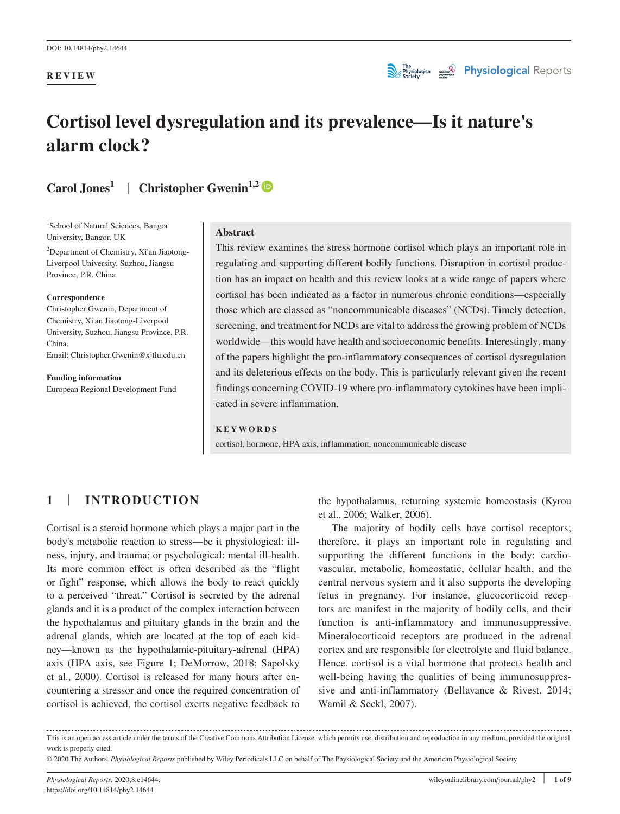#### **REVIEW**



# **Cortisol level dysregulation and its prevalence—Is it nature's alarm clock?**

**Carol Jones1** | **Christopher Gwenin1,[2](https://orcid.org/0000-0003-0363-8168)**

<sup>1</sup>School of Natural Sciences, Bangor University, Bangor, UK

<sup>2</sup>Department of Chemistry, Xi'an Jiaotong-Liverpool University, Suzhou, Jiangsu Province, P.R. China

#### **Correspondence**

Christopher Gwenin, Department of Chemistry, Xi'an Jiaotong-Liverpool University, Suzhou, Jiangsu Province, P.R. China. Email: [Christopher.Gwenin@xjtlu.edu.cn](mailto:Christopher.Gwenin@xjtlu.edu.cn)

**Funding information**

European Regional Development Fund

#### **Abstract**

This review examines the stress hormone cortisol which plays an important role in regulating and supporting different bodily functions. Disruption in cortisol production has an impact on health and this review looks at a wide range of papers where cortisol has been indicated as a factor in numerous chronic conditions—especially those which are classed as "noncommunicable diseases" (NCDs). Timely detection, screening, and treatment for NCDs are vital to address the growing problem of NCDs worldwide—this would have health and socioeconomic benefits. Interestingly, many of the papers highlight the pro-inflammatory consequences of cortisol dysregulation and its deleterious effects on the body. This is particularly relevant given the recent findings concerning COVID-19 where pro-inflammatory cytokines have been implicated in severe inflammation.

#### **KEYWORDS**

cortisol, hormone, HPA axis, inflammation, noncommunicable disease

## **1** | **INTRODUCTION**

Cortisol is a steroid hormone which plays a major part in the body's metabolic reaction to stress—be it physiological: illness, injury, and trauma; or psychological: mental ill-health. Its more common effect is often described as the "flight or fight" response, which allows the body to react quickly to a perceived "threat." Cortisol is secreted by the adrenal glands and it is a product of the complex interaction between the hypothalamus and pituitary glands in the brain and the adrenal glands, which are located at the top of each kidney—known as the hypothalamic-pituitary-adrenal (HPA) axis (HPA axis, see Figure 1; DeMorrow, 2018; Sapolsky et al., 2000). Cortisol is released for many hours after encountering a stressor and once the required concentration of cortisol is achieved, the cortisol exerts negative feedback to

the hypothalamus, returning systemic homeostasis (Kyrou et al., 2006; Walker, 2006).

The majority of bodily cells have cortisol receptors; therefore, it plays an important role in regulating and supporting the different functions in the body: cardiovascular, metabolic, homeostatic, cellular health, and the central nervous system and it also supports the developing fetus in pregnancy. For instance, glucocorticoid receptors are manifest in the majority of bodily cells, and their function is anti-inflammatory and immunosuppressive. Mineralocorticoid receptors are produced in the adrenal cortex and are responsible for electrolyte and fluid balance. Hence, cortisol is a vital hormone that protects health and well-being having the qualities of being immunosuppressive and anti-inflammatory (Bellavance & Rivest, 2014; Wamil & Seckl, 2007).

This is an open access article under the terms of the [Creative Commons Attribution](http://creativecommons.org/licenses/by/4.0/) License, which permits use, distribution and reproduction in any medium, provided the original work is properly cited.

© 2020 The Authors. *Physiological Reports* published by Wiley Periodicals LLC on behalf of The Physiological Society and the American Physiological Society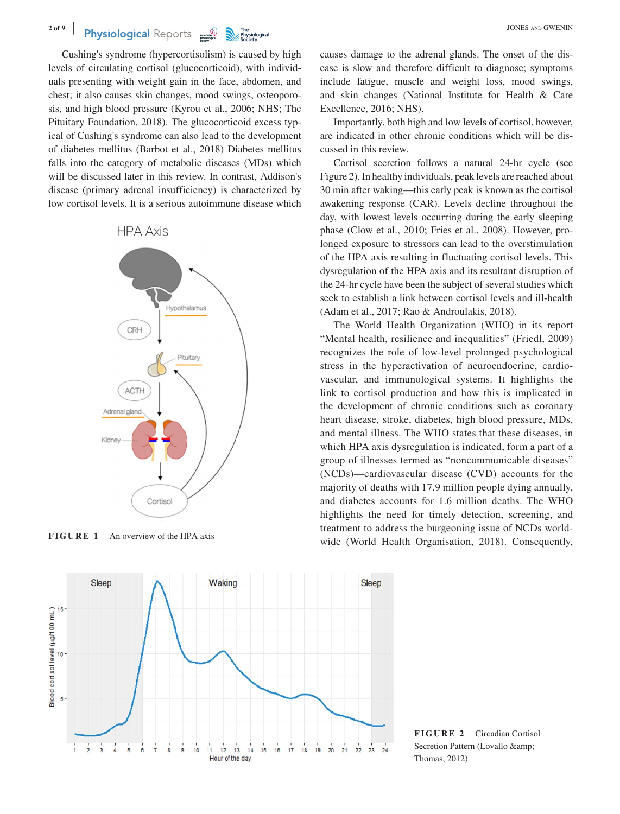Cushing's syndrome (hypercortisolism) is caused by high levels of circulating cortisol (glucocorticoid), with individuals presenting with weight gain in the face, abdomen, and chest; it also causes skin changes, mood swings, osteoporosis, and high blood pressure (Kyrou et al., 2006; NHS; The Pituitary Foundation, 2018). The glucocorticoid excess typical of Cushing's syndrome can also lead to the development of diabetes mellitus (Barbot et al., 2018) Diabetes mellitus falls into the category of metabolic diseases (MDs) which will be discussed later in this review. In contrast, Addison's disease (primary adrenal insufficiency) is characterized by low cortisol levels. It is a serious autoimmune disease which





causes damage to the adrenal glands. The onset of the disease is slow and therefore difficult to diagnose; symptoms include fatigue, muscle and weight loss, mood swings, and skin changes (National Institute for Health & Care Excellence, 2016; NHS).

Importantly, both high and low levels of cortisol, however, are indicated in other chronic conditions which will be discussed in this review.

Cortisol secretion follows a natural 24-hr cycle (see Figure 2). In healthy individuals, peak levels are reached about 30 min after waking—this early peak is known as the cortisol awakening response (CAR). Levels decline throughout the day, with lowest levels occurring during the early sleeping phase (Clow et al., 2010; Fries et al., 2008). However, prolonged exposure to stressors can lead to the overstimulation of the HPA axis resulting in fluctuating cortisol levels. This dysregulation of the HPA axis and its resultant disruption of the 24-hr cycle have been the subject of several studies which seek to establish a link between cortisol levels and ill-health (Adam et al., 2017; Rao & Androulakis, 2018).

The World Health Organization (WHO) in its report "Mental health, resilience and inequalities" (Friedl, 2009) recognizes the role of low-level prolonged psychological stress in the hyperactivation of neuroendocrine, cardiovascular, and immunological systems. It highlights the link to cortisol production and how this is implicated in the development of chronic conditions such as coronary heart disease, stroke, diabetes, high blood pressure, MDs, and mental illness. The WHO states that these diseases, in which HPA axis dysregulation is indicated, form a part of a group of illnesses termed as "noncommunicable diseases" (NCDs)—cardiovascular disease (CVD) accounts for the majority of deaths with 17.9 million people dying annually, and diabetes accounts for 1.6 million deaths. The WHO highlights the need for timely detection, screening, and treatment to address the burgeoning issue of NCDs world-FIGURE 1 An overview of the HPA axis wide (World Health Organisation, 2018). Consequently,



**FIGURE 2** Circadian Cortisol Secretion Pattern (Lovallo & Thomas, 2012)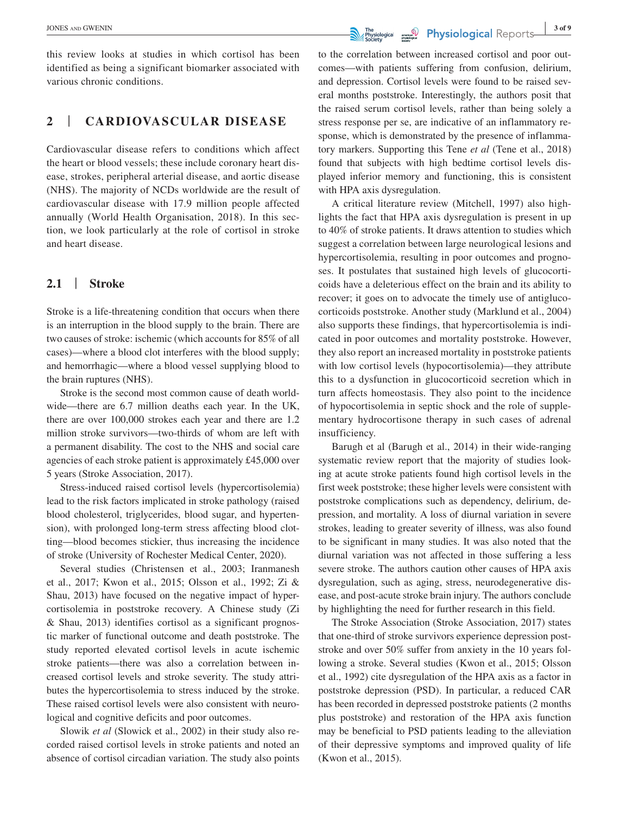this review looks at studies in which cortisol has been identified as being a significant biomarker associated with various chronic conditions.

## **2** | **CARDIOVASCULAR DISEASE**

Cardiovascular disease refers to conditions which affect the heart or blood vessels; these include coronary heart disease, strokes, peripheral arterial disease, and aortic disease (NHS). The majority of NCDs worldwide are the result of cardiovascular disease with 17.9 million people affected annually (World Health Organisation, 2018). In this section, we look particularly at the role of cortisol in stroke and heart disease.

#### **2.1** | **Stroke**

Stroke is a life-threatening condition that occurs when there is an interruption in the blood supply to the brain. There are two causes of stroke: ischemic (which accounts for 85% of all cases)—where a blood clot interferes with the blood supply; and hemorrhagic—where a blood vessel supplying blood to the brain ruptures (NHS).

Stroke is the second most common cause of death worldwide—there are 6.7 million deaths each year. In the UK, there are over 100,000 strokes each year and there are 1.2 million stroke survivors—two-thirds of whom are left with a permanent disability. The cost to the NHS and social care agencies of each stroke patient is approximately £45,000 over 5 years (Stroke Association, 2017).

Stress-induced raised cortisol levels (hypercortisolemia) lead to the risk factors implicated in stroke pathology (raised blood cholesterol, triglycerides, blood sugar, and hypertension), with prolonged long-term stress affecting blood clotting—blood becomes stickier, thus increasing the incidence of stroke (University of Rochester Medical Center, 2020).

Several studies (Christensen et al., 2003; Iranmanesh et al., 2017; Kwon et al., 2015; Olsson et al., 1992; Zi & Shau, 2013) have focused on the negative impact of hypercortisolemia in poststroke recovery. A Chinese study (Zi & Shau, 2013) identifies cortisol as a significant prognostic marker of functional outcome and death poststroke. The study reported elevated cortisol levels in acute ischemic stroke patients—there was also a correlation between increased cortisol levels and stroke severity. The study attributes the hypercortisolemia to stress induced by the stroke. These raised cortisol levels were also consistent with neurological and cognitive deficits and poor outcomes.

Slowik *et al* (Slowick et al., 2002) in their study also recorded raised cortisol levels in stroke patients and noted an absence of cortisol circadian variation. The study also points to the correlation between increased cortisol and poor outcomes—with patients suffering from confusion, delirium, and depression. Cortisol levels were found to be raised several months poststroke. Interestingly, the authors posit that the raised serum cortisol levels, rather than being solely a stress response per se, are indicative of an inflammatory response, which is demonstrated by the presence of inflammatory markers. Supporting this Tene *et al* (Tene et al., 2018) found that subjects with high bedtime cortisol levels displayed inferior memory and functioning, this is consistent with HPA axis dysregulation.

A critical literature review (Mitchell, 1997) also highlights the fact that HPA axis dysregulation is present in up to 40% of stroke patients. It draws attention to studies which suggest a correlation between large neurological lesions and hypercortisolemia, resulting in poor outcomes and prognoses. It postulates that sustained high levels of glucocorticoids have a deleterious effect on the brain and its ability to recover; it goes on to advocate the timely use of antiglucocorticoids poststroke. Another study (Marklund et al., 2004) also supports these findings, that hypercortisolemia is indicated in poor outcomes and mortality poststroke. However, they also report an increased mortality in poststroke patients with low cortisol levels (hypocortisolemia)—they attribute this to a dysfunction in glucocorticoid secretion which in turn affects homeostasis. They also point to the incidence of hypocortisolemia in septic shock and the role of supplementary hydrocortisone therapy in such cases of adrenal insufficiency.

Barugh et al (Barugh et al., 2014) in their wide-ranging systematic review report that the majority of studies looking at acute stroke patients found high cortisol levels in the first week poststroke; these higher levels were consistent with poststroke complications such as dependency, delirium, depression, and mortality. A loss of diurnal variation in severe strokes, leading to greater severity of illness, was also found to be significant in many studies. It was also noted that the diurnal variation was not affected in those suffering a less severe stroke. The authors caution other causes of HPA axis dysregulation, such as aging, stress, neurodegenerative disease, and post-acute stroke brain injury. The authors conclude by highlighting the need for further research in this field.

The Stroke Association (Stroke Association, 2017) states that one-third of stroke survivors experience depression poststroke and over 50% suffer from anxiety in the 10 years following a stroke. Several studies (Kwon et al., 2015; Olsson et al., 1992) cite dysregulation of the HPA axis as a factor in poststroke depression (PSD). In particular, a reduced CAR has been recorded in depressed poststroke patients (2 months plus poststroke) and restoration of the HPA axis function may be beneficial to PSD patients leading to the alleviation of their depressive symptoms and improved quality of life (Kwon et al., 2015).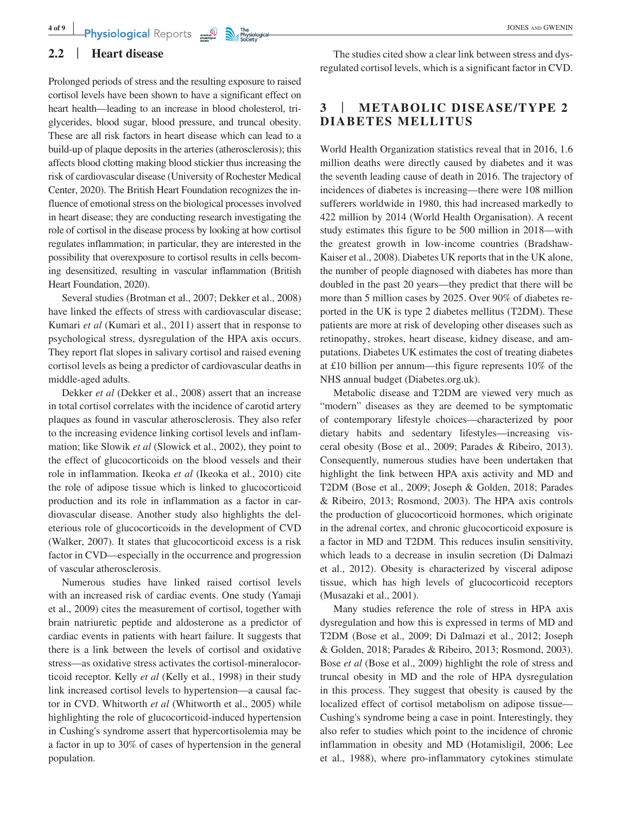Prolonged periods of stress and the resulting exposure to raised cortisol levels have been shown to have a significant effect on heart health—leading to an increase in blood cholesterol, triglycerides, blood sugar, blood pressure, and truncal obesity. These are all risk factors in heart disease which can lead to a build-up of plaque deposits in the arteries (atherosclerosis); this affects blood clotting making blood stickier thus increasing the risk of cardiovascular disease (University of Rochester Medical Center, 2020). The British Heart Foundation recognizes the influence of emotional stress on the biological processes involved in heart disease; they are conducting research investigating the role of cortisol in the disease process by looking at how cortisol regulates inflammation; in particular, they are interested in the possibility that overexposure to cortisol results in cells becoming desensitized, resulting in vascular inflammation (British Heart Foundation, 2020).

Several studies (Brotman et al., 2007; Dekker et al., 2008) have linked the effects of stress with cardiovascular disease; Kumari *et al* (Kumari et al., 2011) assert that in response to psychological stress, dysregulation of the HPA axis occurs. They report flat slopes in salivary cortisol and raised evening cortisol levels as being a predictor of cardiovascular deaths in middle-aged adults.

Dekker *et al* (Dekker et al., 2008) assert that an increase in total cortisol correlates with the incidence of carotid artery plaques as found in vascular atherosclerosis. They also refer to the increasing evidence linking cortisol levels and inflammation; like Slowik *et al* (Slowick et al., 2002), they point to the effect of glucocorticoids on the blood vessels and their role in inflammation. Ikeoka *et al* (Ikeoka et al., 2010) cite the role of adipose tissue which is linked to glucocorticoid production and its role in inflammation as a factor in cardiovascular disease. Another study also highlights the deleterious role of glucocorticoids in the development of CVD (Walker, 2007). It states that glucocorticoid excess is a risk factor in CVD—especially in the occurrence and progression of vascular atherosclerosis.

Numerous studies have linked raised cortisol levels with an increased risk of cardiac events. One study (Yamaji et al., 2009) cites the measurement of cortisol, together with brain natriuretic peptide and aldosterone as a predictor of cardiac events in patients with heart failure. It suggests that there is a link between the levels of cortisol and oxidative stress—as oxidative stress activates the cortisol-mineralocorticoid receptor. Kelly *et al* (Kelly et al., 1998) in their study link increased cortisol levels to hypertension—a causal factor in CVD. Whitworth *et al* (Whitworth et al., 2005) while highlighting the role of glucocorticoid-induced hypertension in Cushing's syndrome assert that hypercortisolemia may be a factor in up to 30% of cases of hypertension in the general population.

The studies cited show a clear link between stress and dysregulated cortisol levels, which is a significant factor in CVD.

#### **3** | **METABOLIC DISEASE/TYPE 2 DIABETES MELLITUS**

World Health Organization statistics reveal that in 2016, 1.6 million deaths were directly caused by diabetes and it was the seventh leading cause of death in 2016. The trajectory of incidences of diabetes is increasing—there were 108 million sufferers worldwide in 1980, this had increased markedly to 422 million by 2014 (World Health Organisation). A recent study estimates this figure to be 500 million in 2018—with the greatest growth in low-income countries (Bradshaw-Kaiser et al., 2008). Diabetes UK reports that in the UK alone, the number of people diagnosed with diabetes has more than doubled in the past 20 years—they predict that there will be more than 5 million cases by 2025. Over 90% of diabetes reported in the UK is type 2 diabetes mellitus (T2DM). These patients are more at risk of developing other diseases such as retinopathy, strokes, heart disease, kidney disease, and amputations. Diabetes UK estimates the cost of treating diabetes at £10 billion per annum—this figure represents 10% of the NHS annual budget [\(Diabetes.org.uk\)](http://Diabetes.org.uk).

Metabolic disease and T2DM are viewed very much as "modern" diseases as they are deemed to be symptomatic of contemporary lifestyle choices—characterized by poor dietary habits and sedentary lifestyles—increasing visceral obesity (Bose et al., 2009; Parades & Ribeiro, 2013). Consequently, numerous studies have been undertaken that highlight the link between HPA axis activity and MD and T2DM (Bose et al., 2009; Joseph & Golden, 2018; Parades & Ribeiro, 2013; Rosmond, 2003). The HPA axis controls the production of glucocorticoid hormones, which originate in the adrenal cortex, and chronic glucocorticoid exposure is a factor in MD and T2DM. This reduces insulin sensitivity, which leads to a decrease in insulin secretion (Di Dalmazi et al., 2012). Obesity is characterized by visceral adipose tissue, which has high levels of glucocorticoid receptors (Musazaki et al., 2001).

Many studies reference the role of stress in HPA axis dysregulation and how this is expressed in terms of MD and T2DM (Bose et al., 2009; Di Dalmazi et al., 2012; Joseph & Golden, 2018; Parades & Ribeiro, 2013; Rosmond, 2003). Bose *et al* (Bose et al., 2009) highlight the role of stress and truncal obesity in MD and the role of HPA dysregulation in this process. They suggest that obesity is caused by the localized effect of cortisol metabolism on adipose tissue— Cushing's syndrome being a case in point. Interestingly, they also refer to studies which point to the incidence of chronic inflammation in obesity and MD (Hotamisligil, 2006; Lee et al., 1988), where pro-inflammatory cytokines stimulate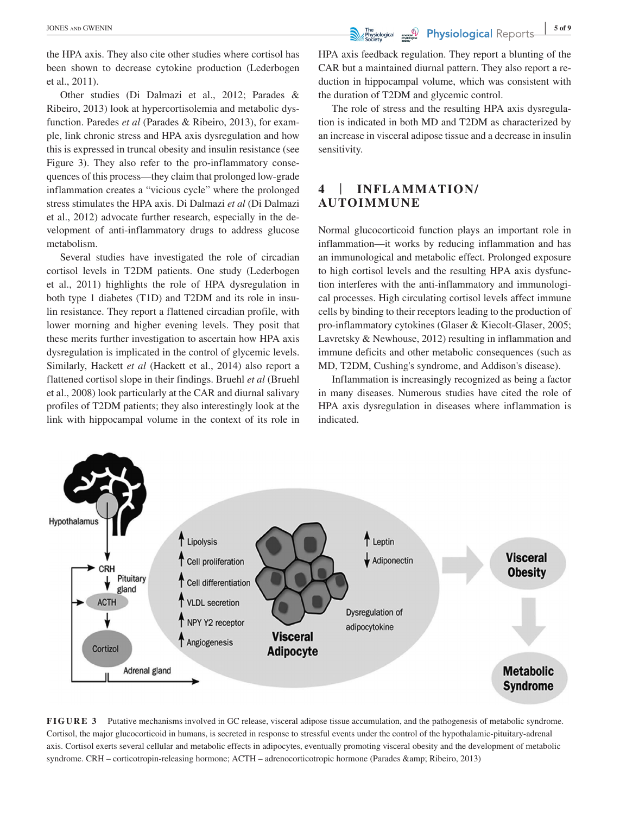the HPA axis. They also cite other studies where cortisol has been shown to decrease cytokine production (Lederbogen et al., 2011).

Other studies (Di Dalmazi et al., 2012; Parades & Ribeiro, 2013) look at hypercortisolemia and metabolic dysfunction. Paredes *et al* (Parades & Ribeiro, 2013), for example, link chronic stress and HPA axis dysregulation and how this is expressed in truncal obesity and insulin resistance (see Figure 3). They also refer to the pro-inflammatory consequences of this process—they claim that prolonged low-grade inflammation creates a "vicious cycle" where the prolonged stress stimulates the HPA axis. Di Dalmazi *et al* (Di Dalmazi et al., 2012) advocate further research, especially in the development of anti-inflammatory drugs to address glucose metabolism.

Several studies have investigated the role of circadian cortisol levels in T2DM patients. One study (Lederbogen et al., 2011) highlights the role of HPA dysregulation in both type 1 diabetes (T1D) and T2DM and its role in insulin resistance. They report a flattened circadian profile, with lower morning and higher evening levels. They posit that these merits further investigation to ascertain how HPA axis dysregulation is implicated in the control of glycemic levels. Similarly, Hackett *et al* (Hackett et al., 2014) also report a flattened cortisol slope in their findings. Bruehl *et al* (Bruehl et al., 2008) look particularly at the CAR and diurnal salivary profiles of T2DM patients; they also interestingly look at the link with hippocampal volume in the context of its role in

HPA axis feedback regulation. They report a blunting of the CAR but a maintained diurnal pattern. They also report a reduction in hippocampal volume, which was consistent with the duration of T2DM and glycemic control.

The role of stress and the resulting HPA axis dysregulation is indicated in both MD and T2DM as characterized by an increase in visceral adipose tissue and a decrease in insulin sensitivity.

## **4** | **INFLAMMATION/ AUTOIMMUNE**

Normal glucocorticoid function plays an important role in inflammation—it works by reducing inflammation and has an immunological and metabolic effect. Prolonged exposure to high cortisol levels and the resulting HPA axis dysfunction interferes with the anti-inflammatory and immunological processes. High circulating cortisol levels affect immune cells by binding to their receptors leading to the production of pro-inflammatory cytokines (Glaser & Kiecolt-Glaser, 2005; Lavretsky & Newhouse, 2012) resulting in inflammation and immune deficits and other metabolic consequences (such as MD, T2DM, Cushing's syndrome, and Addison's disease).

Inflammation is increasingly recognized as being a factor in many diseases. Numerous studies have cited the role of HPA axis dysregulation in diseases where inflammation is indicated.



**FIGURE 3** Putative mechanisms involved in GC release, visceral adipose tissue accumulation, and the pathogenesis of metabolic syndrome. Cortisol, the major glucocorticoid in humans, is secreted in response to stressful events under the control of the hypothalamic-pituitary-adrenal axis. Cortisol exerts several cellular and metabolic effects in adipocytes, eventually promoting visceral obesity and the development of metabolic syndrome. CRH – corticotropin-releasing hormone; ACTH – adrenocorticotropic hormone (Parades & amp; Ribeiro, 2013)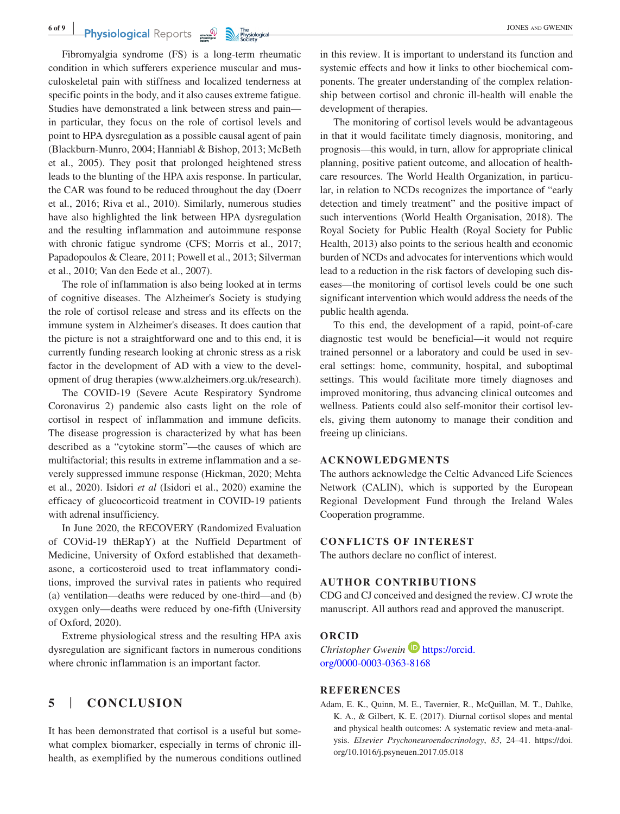#### **6 of 9 <sup>|</sup>**

# **Physiological** Reports **in the property of the contract of the CWENIN** JONES AND GWENIN

Fibromyalgia syndrome (FS) is a long-term rheumatic condition in which sufferers experience muscular and musculoskeletal pain with stiffness and localized tenderness at specific points in the body, and it also causes extreme fatigue. Studies have demonstrated a link between stress and pain in particular, they focus on the role of cortisol levels and point to HPA dysregulation as a possible causal agent of pain (Blackburn-Munro, 2004; Hanniabl & Bishop, 2013; McBeth et al., 2005). They posit that prolonged heightened stress leads to the blunting of the HPA axis response. In particular, the CAR was found to be reduced throughout the day (Doerr et al., 2016; Riva et al., 2010). Similarly, numerous studies have also highlighted the link between HPA dysregulation and the resulting inflammation and autoimmune response with chronic fatigue syndrome (CFS; Morris et al., 2017; Papadopoulos & Cleare, 2011; Powell et al., 2013; Silverman et al., 2010; Van den Eede et al., 2007).

The role of inflammation is also being looked at in terms of cognitive diseases. The Alzheimer's Society is studying the role of cortisol release and stress and its effects on the immune system in Alzheimer's diseases. It does caution that the picture is not a straightforward one and to this end, it is currently funding research looking at chronic stress as a risk factor in the development of AD with a view to the development of drug therapies ([www.alzheimers.org.uk/research\)](http://www.alzheimers.org.uk/research).

The COVID-19 (Severe Acute Respiratory Syndrome Coronavirus 2) pandemic also casts light on the role of cortisol in respect of inflammation and immune deficits. The disease progression is characterized by what has been described as a "cytokine storm"—the causes of which are multifactorial; this results in extreme inflammation and a severely suppressed immune response (Hickman, 2020; Mehta et al., 2020). Isidori *et al* (Isidori et al., 2020) examine the efficacy of glucocorticoid treatment in COVID-19 patients with adrenal insufficiency.

In June 2020, the RECOVERY (Randomized Evaluation of COVid-19 thERapY) at the Nuffield Department of Medicine, University of Oxford established that dexamethasone, a corticosteroid used to treat inflammatory conditions, improved the survival rates in patients who required (a) ventilation—deaths were reduced by one-third—and (b) oxygen only—deaths were reduced by one-fifth (University of Oxford, 2020).

Extreme physiological stress and the resulting HPA axis dysregulation are significant factors in numerous conditions where chronic inflammation is an important factor.

#### **5** | **CONCLUSION**

It has been demonstrated that cortisol is a useful but somewhat complex biomarker, especially in terms of chronic illhealth, as exemplified by the numerous conditions outlined

in this review. It is important to understand its function and systemic effects and how it links to other biochemical components. The greater understanding of the complex relationship between cortisol and chronic ill-health will enable the development of therapies.

The monitoring of cortisol levels would be advantageous in that it would facilitate timely diagnosis, monitoring, and prognosis—this would, in turn, allow for appropriate clinical planning, positive patient outcome, and allocation of healthcare resources. The World Health Organization, in particular, in relation to NCDs recognizes the importance of "early detection and timely treatment" and the positive impact of such interventions (World Health Organisation, 2018). The Royal Society for Public Health (Royal Society for Public Health, 2013) also points to the serious health and economic burden of NCDs and advocates for interventions which would lead to a reduction in the risk factors of developing such diseases—the monitoring of cortisol levels could be one such significant intervention which would address the needs of the public health agenda.

To this end, the development of a rapid, point-of-care diagnostic test would be beneficial—it would not require trained personnel or a laboratory and could be used in several settings: home, community, hospital, and suboptimal settings. This would facilitate more timely diagnoses and improved monitoring, thus advancing clinical outcomes and wellness. Patients could also self-monitor their cortisol levels, giving them autonomy to manage their condition and freeing up clinicians.

#### **ACKNOWLEDGMENTS**

The authors acknowledge the Celtic Advanced Life Sciences Network (CALIN), which is supported by the European Regional Development Fund through the Ireland Wales Cooperation programme.

#### **CONFLICTS OF INTEREST**

The authors declare no conflict of interest.

#### **AUTHOR CONTRIBUTIONS**

CDG and CJ conceived and designed the review. CJ wrote the manuscript. All authors read and approved the manuscript.

#### **ORCID**

*Christopher Gwenin* **ID** [https://orcid.](https://orcid.org/0000-0003-0363-8168) [org/0000-0003-0363-8168](https://orcid.org/0000-0003-0363-8168)

#### **REFERENCES**

Adam, E. K., Quinn, M. E., Tavernier, R., McQuillan, M. T., Dahlke, K. A., & Gilbert, K. E. (2017). Diurnal cortisol slopes and mental and physical health outcomes: A systematic review and meta-analysis. *Elsevier Psychoneuroendocrinology*, *83*, 24–41. [https://doi.](https://doi.org/10.1016/j.psyneuen.2017.05.018) [org/10.1016/j.psyneuen.2017.05.018](https://doi.org/10.1016/j.psyneuen.2017.05.018)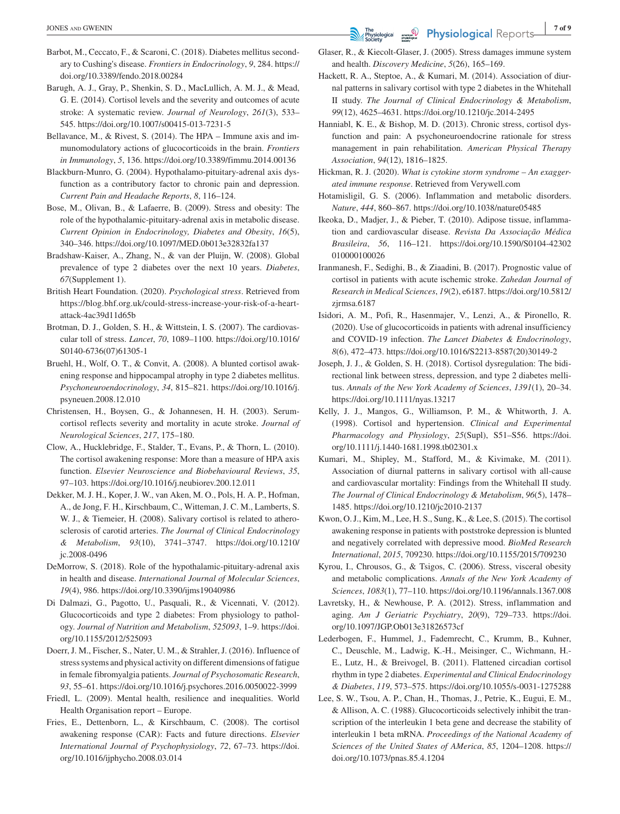- Barbot, M., Ceccato, F., & Scaroni, C. (2018). Diabetes mellitus secondary to Cushing's disease. *Frontiers in Endocrinology*, *9*, 284. [https://](https://doi.org/10.3389/fendo.2018.00284) [doi.org/10.3389/fendo.2018.00284](https://doi.org/10.3389/fendo.2018.00284)
- Barugh, A. J., Gray, P., Shenkin, S. D., MacLullich, A. M. J., & Mead, G. E. (2014). Cortisol levels and the severity and outcomes of acute stroke: A systematic review. *Journal of Neurology*, *261*(3), 533– 545. <https://doi.org/10.1007/s00415-013-7231-5>
- Bellavance, M., & Rivest, S. (2014). The HPA Immune axis and immunomodulatory actions of glucocorticoids in the brain. *Frontiers in Immunology*, *5*, 136. <https://doi.org/10.3389/fimmu.2014.00136>
- Blackburn-Munro, G. (2004). Hypothalamo-pituitary-adrenal axis dysfunction as a contributory factor to chronic pain and depression. *Current Pain and Headache Reports*, *8*, 116–124.
- Bose, M., Olivan, B., & Lafaerre, B. (2009). Stress and obesity: The role of the hypothalamic-pituitary-adrenal axis in metabolic disease. *Current Opinion in Endocrinology, Diabetes and Obesity*, *16*(5), 340–346. <https://doi.org/10.1097/MED.0b013e32832fa137>
- Bradshaw-Kaiser, A., Zhang, N., & van der Pluijn, W. (2008). Global prevalence of type 2 diabetes over the next 10 years. *Diabetes*, *67*(Supplement 1).
- British Heart Foundation. (2020). *Psychological stress*. Retrieved from [https://blog.bhf.org.uk/could-stress-increase-your-risk-of-a-heart](https://blog.bhf.org.uk/could-stress-increase-your-risk-of-a-heart-attack-4ac39d11d65b)[attack-4ac39d11d65b](https://blog.bhf.org.uk/could-stress-increase-your-risk-of-a-heart-attack-4ac39d11d65b)
- Brotman, D. J., Golden, S. H., & Wittstein, I. S. (2007). The cardiovascular toll of stress. *Lancet*, *70*, 1089–1100. [https://doi.org/10.1016/](https://doi.org/10.1016/S0140-6736(07)61305-1) [S0140-6736\(07\)61305-1](https://doi.org/10.1016/S0140-6736(07)61305-1)
- Bruehl, H., Wolf, O. T., & Convit, A. (2008). A blunted cortisol awakening response and hippocampal atrophy in type 2 diabetes mellitus. *Psychoneuroendocrinology*, *34*, 815–821. [https://doi.org/10.1016/j.](https://doi.org/10.1016/j.psyneuen.2008.12.010) [psyneuen.2008.12.010](https://doi.org/10.1016/j.psyneuen.2008.12.010)
- Christensen, H., Boysen, G., & Johannesen, H. H. (2003). Serumcortisol reflects severity and mortality in acute stroke. *Journal of Neurological Sciences*, *217*, 175–180.
- Clow, A., Hucklebridge, F., Stalder, T., Evans, P., & Thorn, L. (2010). The cortisol awakening response: More than a measure of HPA axis function. *Elsevier Neuroscience and Biobehavioural Reviews*, *35*, 97–103. <https://doi.org/10.1016/j.neubiorev.200.12.011>
- Dekker, M. J. H., Koper, J. W., van Aken, M. O., Pols, H. A. P., Hofman, A., de Jong, F. H., Kirschbaum, C., Witteman, J. C. M., Lamberts, S. W. J., & Tiemeier, H. (2008). Salivary cortisol is related to atherosclerosis of carotid arteries. *The Journal of Clinical Endocrinology & Metabolism*, *93*(10), 3741–3747. [https://doi.org/10.1210/](https://doi.org/10.1210/jc.2008-0496) [jc.2008-0496](https://doi.org/10.1210/jc.2008-0496)
- DeMorrow, S. (2018). Role of the hypothalamic-pituitary-adrenal axis in health and disease. *International Journal of Molecular Sciences*, *19*(4), 986.<https://doi.org/10.3390/ijms19040986>
- Di Dalmazi, G., Pagotto, U., Pasquali, R., & Vicennati, V. (2012). Glucocorticoids and type 2 diabetes: From physiology to pathology. *Journal of Nutrition and Metabolism*, *525093*, 1–9. [https://doi.](https://doi.org/10.1155/2012/525093) [org/10.1155/2012/525093](https://doi.org/10.1155/2012/525093)
- Doerr, J. M., Fischer, S., Nater, U. M., & Strahler, J. (2016). Influence of stress systems and physical activity on different dimensions of fatigue in female fibromyalgia patients. *Journal of Psychosomatic Research*, *93*, 55–61.<https://doi.org/10.1016/j.psychores.2016.0050022-3999>
- Friedl, L. (2009). Mental health, resilience and inequalities. World Health Organisation report – Europe.
- Fries, E., Dettenborn, L., & Kirschbaum, C. (2008). The cortisol awakening response (CAR): Facts and future directions. *Elsevier International Journal of Psychophysiology*, *72*, 67–73. [https://doi.](https://doi.org/10.1016/ijphycho.2008.03.014) [org/10.1016/ijphycho.2008.03.014](https://doi.org/10.1016/ijphycho.2008.03.014)
- Glaser, R., & Kiecolt-Glaser, J. (2005). Stress damages immune system and health. *Discovery Medicine*, *5*(26), 165–169.
- Hackett, R. A., Steptoe, A., & Kumari, M. (2014). Association of diurnal patterns in salivary cortisol with type 2 diabetes in the Whitehall II study. *The Journal of Clinical Endocrinology & Metabolism*, *99*(12), 4625–4631.<https://doi.org/10.1210/jc.2014-2495>
- Hanniabl, K. E., & Bishop, M. D. (2013). Chronic stress, cortisol dysfunction and pain: A psychoneuroendocrine rationale for stress management in pain rehabilitation. *American Physical Therapy Association*, *94*(12), 1816–1825.
- Hickman, R. J. (2020). *What is cytokine storm syndrome An exaggerated immune response*. Retrieved from Verywell.com
- Hotamisligil, G. S. (2006). Inflammation and metabolic disorders. *Nature*, *444*, 860–867.<https://doi.org/10.1038/nature05485>
- Ikeoka, D., Madjer, J., & Pieber, T. (2010). Adipose tissue, inflammation and cardiovascular disease. *Revista Da Associação Médica Brasileira*, *56*, 116–121. [https://doi.org/10.1590/S0104-42302](https://doi.org/10.1590/S0104-42302010000100026) [010000100026](https://doi.org/10.1590/S0104-42302010000100026)
- Iranmanesh, F., Sedighi, B., & Ziaadini, B. (2017). Prognostic value of cortisol in patients with acute ischemic stroke. *Zahedan Journal of Research in Medical Sciences*, *19*(2), e6187. [https://doi.org/10.5812/](https://doi.org/10.5812/zjrmsa.6187) [zjrmsa.6187](https://doi.org/10.5812/zjrmsa.6187)
- Isidori, A. M., Pofi, R., Hasenmajer, V., Lenzi, A., & Pironello, R. (2020). Use of glucocorticoids in patients with adrenal insufficiency and COVID-19 infection. *The Lancet Diabetes & Endocrinology*, *8*(6), 472–473. [https://doi.org/10.1016/S2213-8587\(20\)30149-2](https://doi.org/10.1016/S2213-8587(20)30149-2)
- Joseph, J. J., & Golden, S. H. (2018). Cortisol dysregulation: The bidirectional link between stress, depression, and type 2 diabetes mellitus. *Annals of the New York Academy of Sciences*, *1391*(1), 20–34. <https://doi.org/10.1111/nyas.13217>
- Kelly, J. J., Mangos, G., Williamson, P. M., & Whitworth, J. A. (1998). Cortisol and hypertension. *Clinical and Experimental Pharmacology and Physiology*, *25*(Supl), S51–S56. [https://doi.](https://doi.org/10.1111/j.1440-1681.1998.tb02301.x) [org/10.1111/j.1440-1681.1998.tb02301.x](https://doi.org/10.1111/j.1440-1681.1998.tb02301.x)
- Kumari, M., Shipley, M., Stafford, M., & Kivimake, M. (2011). Association of diurnal patterns in salivary cortisol with all-cause and cardiovascular mortality: Findings from the Whitehall II study. *The Journal of Clinical Endocrinology & Metabolism*, *96*(5), 1478– 1485.<https://doi.org/10.1210/jc2010-2137>
- Kwon, O. J., Kim, M., Lee, H. S., Sung, K., & Lee, S. (2015). The cortisol awakening response in patients with poststroke depression is blunted and negatively correlated with depressive mood. *BioMed Research International*, *2015*, 709230.<https://doi.org/10.1155/2015/709230>
- Kyrou, I., Chrousos, G., & Tsigos, C. (2006). Stress, visceral obesity and metabolic complications. *Annals of the New York Academy of Sciences*, *1083*(1), 77–110.<https://doi.org/10.1196/annals.1367.008>
- Lavretsky, H., & Newhouse, P. A. (2012). Stress, inflammation and aging. *Am J Geriatric Psychiatry*, *20*(9), 729–733. [https://doi.](https://doi.org/10.1097/JGP.Ob013e31826573cf) [org/10.1097/JGP.Ob013e31826573cf](https://doi.org/10.1097/JGP.Ob013e31826573cf)
- Lederbogen, F., Hummel, J., Fademrecht, C., Krumm, B., Kuhner, C., Deuschle, M., Ladwig, K.-H., Meisinger, C., Wichmann, H.- E., Lutz, H., & Breivogel, B. (2011). Flattened circadian cortisol rhythm in type 2 diabetes. *Experimental and Clinical Endocrinology & Diabetes*, *119*, 573–575. <https://doi.org/10.1055/s-0031-1275288>
- Lee, S. W., Tsou, A. P., Chan, H., Thomas, J., Petrie, K., Eugui, E. M., & Allison, A. C. (1988). Glucocorticoids selectively inhibit the transcription of the interleukin 1 beta gene and decrease the stability of interleukin 1 beta mRNA. *Proceedings of the National Academy of Sciences of the United States of AMerica*, *85*, 1204–1208. [https://](https://doi.org/10.1073/pnas.85.4.1204) [doi.org/10.1073/pnas.85.4.1204](https://doi.org/10.1073/pnas.85.4.1204)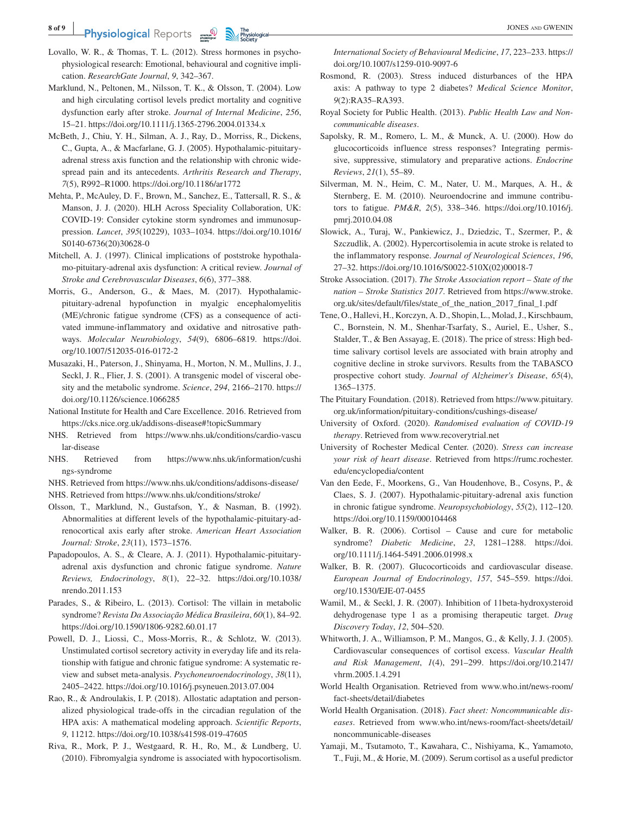#### **8 of 9 <sup>|</sup> Physiological** Reports  $\frac{1}{\sqrt{2}}$  The physiological contract of the set of the set of the set of the set of the set of the set of the set of the set of the set of the set of the set of the set of the set of the set of t

- Lovallo, W. R., & Thomas, T. L. (2012). Stress hormones in psychophysiological research: Emotional, behavioural and cognitive implication. *ResearchGate Journal*, *9*, 342–367.
- Marklund, N., Peltonen, M., Nilsson, T. K., & Olsson, T. (2004). Low and high circulating cortisol levels predict mortality and cognitive dysfunction early after stroke. *Journal of Internal Medicine*, *256*, 15–21. <https://doi.org/10.1111/j.1365-2796.2004.01334.x>
- McBeth, J., Chiu, Y. H., Silman, A. J., Ray, D., Morriss, R., Dickens, C., Gupta, A., & Macfarlane, G. J. (2005). Hypothalamic-pituitaryadrenal stress axis function and the relationship with chronic widespread pain and its antecedents. *Arthritis Research and Therapy*, *7*(5), R992–R1000.<https://doi.org/10.1186/ar1772>
- Mehta, P., McAuley, D. F., Brown, M., Sanchez, E., Tattersall, R. S., & Manson, J. J. (2020). HLH Across Speciality Collaboration, UK: COVID-19: Consider cytokine storm syndromes and immunosuppression. *Lancet*, *395*(10229), 1033–1034. [https://doi.org/10.1016/](https://doi.org/10.1016/S0140-6736(20)30628-0) [S0140-6736\(20\)30628-0](https://doi.org/10.1016/S0140-6736(20)30628-0)
- Mitchell, A. J. (1997). Clinical implications of poststroke hypothalamo-pituitary-adrenal axis dysfunction: A critical review. *Journal of Stroke and Cerebrovascular Diseases*, *6*(6), 377–388.
- Morris, G., Anderson, G., & Maes, M. (2017). Hypothalamicpituitary-adrenal hypofunction in myalgic encephalomyelitis (ME)/chronic fatigue syndrome (CFS) as a consequence of activated immune-inflammatory and oxidative and nitrosative pathways. *Molecular Neurobiology*, *54*(9), 6806–6819. [https://doi.](https://doi.org/10.1007/512035-016-0172-2) [org/10.1007/512035-016-0172-2](https://doi.org/10.1007/512035-016-0172-2)
- Musazaki, H., Paterson, J., Shinyama, H., Morton, N. M., Mullins, J. J., Seckl, J. R., Flier, J. S. (2001). A transgenic model of visceral obesity and the metabolic syndrome. *Science*, *294*, 2166–2170. [https://](https://doi.org/10.1126/science.1066285) [doi.org/10.1126/science.1066285](https://doi.org/10.1126/science.1066285)
- National Institute for Health and Care Excellence. 2016. Retrieved from <https://cks.nice.org.uk/addisons-disease#!topicSummary>
- NHS. Retrieved from [https://www.nhs.uk/conditions/cardio-vascu](https://www.nhs.uk/conditions/cardio-vascular-disease) [lar-disease](https://www.nhs.uk/conditions/cardio-vascular-disease)
- NHS. Retrieved from [https://www.nhs.uk/information/cushi](https://www.nhs.uk/information/cushings-syndrome) [ngs-syndrome](https://www.nhs.uk/information/cushings-syndrome)

NHS. Retrieved from<https://www.nhs.uk/conditions/addisons-disease/>

- NHS. Retrieved from<https://www.nhs.uk/conditions/stroke/>
- Olsson, T., Marklund, N., Gustafson, Y., & Nasman, B. (1992). Abnormalities at different levels of the hypothalamic-pituitary-adrenocortical axis early after stroke. *American Heart Association Journal: Stroke*, *23*(11), 1573–1576.
- Papadopoulos, A. S., & Cleare, A. J. (2011). Hypothalamic-pituitaryadrenal axis dysfunction and chronic fatigue syndrome. *Nature Reviews, Endocrinology*, *8*(1), 22–32. [https://doi.org/10.1038/](https://doi.org/10.1038/nrendo.2011.153) [nrendo.2011.153](https://doi.org/10.1038/nrendo.2011.153)
- Parades, S., & Ribeiro, L. (2013). Cortisol: The villain in metabolic syndrome? *Revista Da Associação Médica Brasileira*, *60*(1), 84–92. <https://doi.org/10.1590/1806-9282.60.01.17>
- Powell, D. J., Liossi, C., Moss-Morris, R., & Schlotz, W. (2013). Unstimulated cortisol secretory activity in everyday life and its relationship with fatigue and chronic fatigue syndrome: A systematic review and subset meta-analysis. *Psychoneuroendocrinology*, *38*(11), 2405–2422.<https://doi.org/10.1016/j.psyneuen.2013.07.004>
- Rao, R., & Androulakis, I. P. (2018). Allostatic adaptation and personalized physiological trade-offs in the circadian regulation of the HPA axis: A mathematical modeling approach. *Scientific Reports*, *9*, 11212.<https://doi.org/10.1038/s41598-019-47605>
- Riva, R., Mork, P. J., Westgaard, R. H., Ro, M., & Lundberg, U. (2010). Fibromyalgia syndrome is associated with hypocortisolism.

*International Society of Behavioural Medicine*, *17*, 223–233. [https://](https://doi.org/10.1007/s1259-010-9097-6) [doi.org/10.1007/s1259-010-9097-6](https://doi.org/10.1007/s1259-010-9097-6)

- Rosmond, R. (2003). Stress induced disturbances of the HPA axis: A pathway to type 2 diabetes? *Medical Science Monitor*, *9*(2):RA35–RA393.
- Royal Society for Public Health. (2013). *Public Health Law and Noncommunicable diseases*.
- Sapolsky, R. M., Romero, L. M., & Munck, A. U. (2000). How do glucocorticoids influence stress responses? Integrating permissive, suppressive, stimulatory and preparative actions. *Endocrine Reviews*, *21*(1), 55–89.
- Silverman, M. N., Heim, C. M., Nater, U. M., Marques, A. H., & Sternberg, E. M. (2010). Neuroendocrine and immune contributors to fatigue. *PM&R*, *2*(5), 338–346. [https://doi.org/10.1016/j.](https://doi.org/10.1016/j.pmrj.2010.04.08) [pmrj.2010.04.08](https://doi.org/10.1016/j.pmrj.2010.04.08)
- Slowick, A., Turaj, W., Pankiewicz, J., Dziedzic, T., Szermer, P., & Szczudlik, A. (2002). Hypercortisolemia in acute stroke is related to the inflammatory response. *Journal of Neurological Sciences*, *196*, 27–32. [https://doi.org/10.1016/S0022-510X\(02\)00018-7](https://doi.org/10.1016/S0022-510X(02)00018-7)
- Stroke Association. (2017). *The Stroke Association report State of the nation – Stroke Statistics 2017*. Retrieved from [https://www.stroke.](https://www.stroke.org.uk/sites/default/files/state_of_the_nation_2017_final_1.pdf) [org.uk/sites/default/files/state\\_of\\_the\\_nation\\_2017\\_final\\_1.pdf](https://www.stroke.org.uk/sites/default/files/state_of_the_nation_2017_final_1.pdf)
- Tene, O., Hallevi, H., Korczyn, A. D., Shopin, L., Molad, J., Kirschbaum, C., Bornstein, N. M., Shenhar-Tsarfaty, S., Auriel, E., Usher, S., Stalder, T., & Ben Assayag, E. (2018). The price of stress: High bedtime salivary cortisol levels are associated with brain atrophy and cognitive decline in stroke survivors. Results from the TABASCO prospective cohort study. *Journal of Alzheimer's Disease*, *65*(4), 1365–1375.
- The Pituitary Foundation. (2018). Retrieved from [https://www.pituitary.](https://www.pituitary.org.uk/information/pituitary-conditions/cushings-disease/) [org.uk/information/pituitary-conditions/cushings-disease/](https://www.pituitary.org.uk/information/pituitary-conditions/cushings-disease/)
- University of Oxford. (2020). *Randomised evaluation of COVID-19 therapy*. Retrieved from www.recoverytrial.net
- University of Rochester Medical Center. (2020). *Stress can increase your risk of heart disease*. Retrieved from [https://rumc.rochester.](https://rumc.rochester.edu/encyclopedia/content) [edu/encyclopedia/content](https://rumc.rochester.edu/encyclopedia/content)
- Van den Eede, F., Moorkens, G., Van Houdenhove, B., Cosyns, P., & Claes, S. J. (2007). Hypothalamic-pituitary-adrenal axis function in chronic fatigue syndrome. *Neuropsychobiology*, *55*(2), 112–120. <https://doi.org/10.1159/000104468>
- Walker, B. R. (2006). Cortisol Cause and cure for metabolic syndrome? *Diabetic Medicine*, *23*, 1281–1288. [https://doi.](https://doi.org/10.1111/j.1464-5491.2006.01998.x) [org/10.1111/j.1464-5491.2006.01998.x](https://doi.org/10.1111/j.1464-5491.2006.01998.x)
- Walker, B. R. (2007). Glucocorticoids and cardiovascular disease. *European Journal of Endocrinology*, *157*, 545–559. [https://doi.](https://doi.org/10.1530/EJE-07-0455) [org/10.1530/EJE-07-0455](https://doi.org/10.1530/EJE-07-0455)
- Wamil, M., & Seckl, J. R. (2007). Inhibition of 11beta-hydroxysteroid dehydrogenase type 1 as a promising therapeutic target. *Drug Discovery Today*, *12*, 504–520.
- Whitworth, J. A., Williamson, P. M., Mangos, G., & Kelly, J. J. (2005). Cardiovascular consequences of cortisol excess. *Vascular Health and Risk Management*, *1*(4), 291–299. [https://doi.org/10.2147/](https://doi.org/10.2147/vhrm.2005.1.4.291) [vhrm.2005.1.4.291](https://doi.org/10.2147/vhrm.2005.1.4.291)
- World Health Organisation. Retrieved from www.who.int/news-room/ fact-sheets/detail/diabetes
- World Health Organisation. (2018). *Fact sheet: Noncommunicable diseases*. Retrieved from www.who.int/news-room/fact-sheets/detail/ noncommunicable-diseases
- Yamaji, M., Tsutamoto, T., Kawahara, C., Nishiyama, K., Yamamoto, T., Fuji, M., & Horie, M. (2009). Serum cortisol as a useful predictor